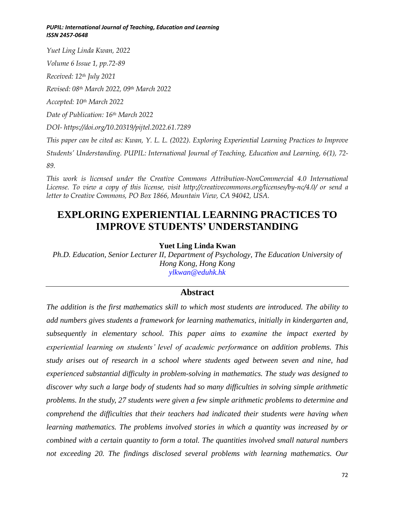*Yuet Ling Linda Kwan, 2022 Volume 6 Issue 1, pp.72-89 Received: 12th July 2021 Revised: 08th March 2022, 09th March 2022 Accepted: 10th March 2022 Date of Publication: 16th March 2022 DOI- https://doi.org/10.20319/pijtel.2022.61.7289 This paper can be cited as: Kwan, Y. L. L. (2022). Exploring Experiential Learning Practices to Improve Students' Understanding. PUPIL: International Journal of Teaching, Education and Learning, 6(1), 72-*

*89.*

*This work is licensed under the Creative Commons Attribution-NonCommercial 4.0 International License. To view a copy of this license, visit http://creativecommons.org/licenses/by-nc/4.0/ or send a letter to Creative Commons, PO Box 1866, Mountain View, CA 94042, USA.*

# **EXPLORING EXPERIENTIAL LEARNING PRACTICES TO IMPROVE STUDENTS' UNDERSTANDING**

#### **Yuet Ling Linda Kwan**

*Ph.D. Education, Senior Lecturer II, Department of Psychology, The Education University of Hong Kong, Hong Kong ylkwan@eduhk.hk*

## **Abstract**

*The addition is the first mathematics skill to which most students are introduced. The ability to add numbers gives students a framework for learning mathematics, initially in kindergarten and, subsequently in elementary school. This paper aims to examine the impact exerted by experiential learning on students' level of academic performance on addition problems. This study arises out of research in a school where students aged between seven and nine, had experienced substantial difficulty in problem-solving in mathematics. The study was designed to discover why such a large body of students had so many difficulties in solving simple arithmetic problems. In the study, 27 students were given a few simple arithmetic problems to determine and comprehend the difficulties that their teachers had indicated their students were having when learning mathematics. The problems involved stories in which a quantity was increased by or combined with a certain quantity to form a total. The quantities involved small natural numbers not exceeding 20. The findings disclosed several problems with learning mathematics. Our*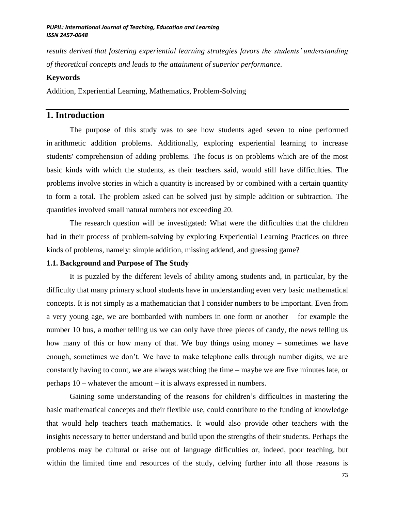*results derived that fostering experiential learning strategies favors the students' understanding of theoretical concepts and leads to the attainment of superior performance.*

#### **Keywords**

Addition, Experiential Learning, Mathematics, Problem-Solving

# **1. Introduction**

The purpose of this study was to see how students aged seven to nine performed in arithmetic addition problems. Additionally, exploring experiential learning to increase students' comprehension of adding problems. The focus is on problems which are of the most basic kinds with which the students, as their teachers said, would still have difficulties. The problems involve stories in which a quantity is increased by or combined with a certain quantity to form a total. The problem asked can be solved just by simple addition or subtraction. The quantities involved small natural numbers not exceeding 20.

The research question will be investigated: What were the difficulties that the children had in their process of problem-solving by exploring Experiential Learning Practices on three kinds of problems, namely: simple addition, missing addend, and guessing game?

#### **1.1. Background and Purpose of The Study**

It is puzzled by the different levels of ability among students and, in particular, by the difficulty that many primary school students have in understanding even very basic mathematical concepts. It is not simply as a mathematician that I consider numbers to be important. Even from a very young age, we are bombarded with numbers in one form or another – for example the number 10 bus, a mother telling us we can only have three pieces of candy, the news telling us how many of this or how many of that. We buy things using money – sometimes we have enough, sometimes we don't. We have to make telephone calls through number digits, we are constantly having to count, we are always watching the time – maybe we are five minutes late, or perhaps 10 – whatever the amount – it is always expressed in numbers.

Gaining some understanding of the reasons for children's difficulties in mastering the basic mathematical concepts and their flexible use, could contribute to the funding of knowledge that would help teachers teach mathematics. It would also provide other teachers with the insights necessary to better understand and build upon the strengths of their students. Perhaps the problems may be cultural or arise out of language difficulties or, indeed, poor teaching, but within the limited time and resources of the study, delving further into all those reasons is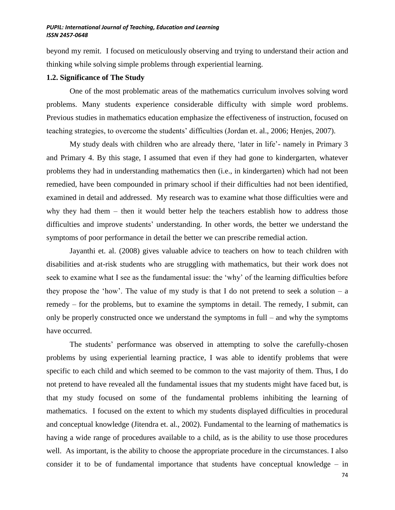beyond my remit. I focused on meticulously observing and trying to understand their action and thinking while solving simple problems through experiential learning.

#### **1.2. Significance of The Study**

One of the most problematic areas of the mathematics curriculum involves solving word problems. Many students experience considerable difficulty with simple word problems. Previous studies in mathematics education emphasize the effectiveness of instruction, focused on teaching strategies, to overcome the students' difficulties (Jordan et. al., 2006; Henjes, 2007).

My study deals with children who are already there, 'later in life'- namely in Primary 3 and Primary 4. By this stage, I assumed that even if they had gone to kindergarten, whatever problems they had in understanding mathematics then (i.e., in kindergarten) which had not been remedied, have been compounded in primary school if their difficulties had not been identified, examined in detail and addressed. My research was to examine what those difficulties were and why they had them – then it would better help the teachers establish how to address those difficulties and improve students' understanding. In other words, the better we understand the symptoms of poor performance in detail the better we can prescribe remedial action.

Jayanthi et. al. (2008) gives valuable advice to teachers on how to teach children with disabilities and at-risk students who are struggling with mathematics, but their work does not seek to examine what I see as the fundamental issue: the 'why' of the learning difficulties before they propose the 'how'. The value of my study is that I do not pretend to seek a solution – a remedy – for the problems, but to examine the symptoms in detail. The remedy, I submit, can only be properly constructed once we understand the symptoms in full – and why the symptoms have occurred.

The students' performance was observed in attempting to solve the carefully-chosen problems by using experiential learning practice, I was able to identify problems that were specific to each child and which seemed to be common to the vast majority of them. Thus, I do not pretend to have revealed all the fundamental issues that my students might have faced but, is that my study focused on some of the fundamental problems inhibiting the learning of mathematics. I focused on the extent to which my students displayed difficulties in procedural and conceptual knowledge (Jitendra et. al., 2002). Fundamental to the learning of mathematics is having a wide range of procedures available to a child, as is the ability to use those procedures well. As important, is the ability to choose the appropriate procedure in the circumstances. I also consider it to be of fundamental importance that students have conceptual knowledge – in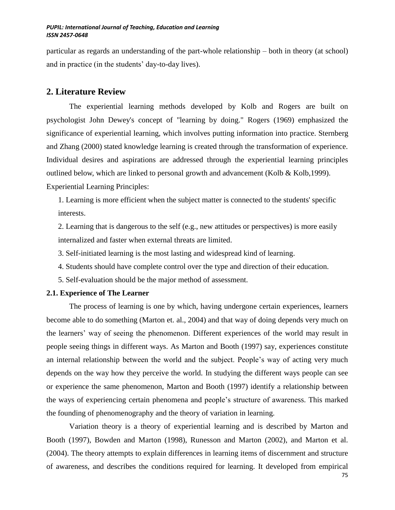particular as regards an understanding of the part-whole relationship – both in theory (at school) and in practice (in the students' day-to-day lives).

## **2. Literature Review**

The experiential learning methods developed by Kolb and Rogers are built on psychologist John Dewey's concept of "learning by doing." Rogers (1969) emphasized the significance of experiential learning, which involves putting information into practice. Sternberg and Zhang (2000) stated knowledge learning is created through the transformation of experience. Individual desires and aspirations are addressed through the experiential learning principles outlined below, which are linked to personal growth and advancement (Kolb & Kolb,1999). Experiential Learning Principles:

1. Learning is more efficient when the subject matter is connected to the students' specific interests.

2. Learning that is dangerous to the self (e.g., new attitudes or perspectives) is more easily internalized and faster when external threats are limited.

3. Self-initiated learning is the most lasting and widespread kind of learning.

- 4. Students should have complete control over the type and direction of their education.
- 5. Self-evaluation should be the major method of assessment.

#### **2.1. Experience of The Learner**

The process of learning is one by which, having undergone certain experiences, learners become able to do something (Marton et. al., 2004) and that way of doing depends very much on the learners' way of seeing the phenomenon. Different experiences of the world may result in people seeing things in different ways. As Marton and Booth (1997) say, experiences constitute an internal relationship between the world and the subject. People's way of acting very much depends on the way how they perceive the world. In studying the different ways people can see or experience the same phenomenon, Marton and Booth (1997) identify a relationship between the ways of experiencing certain phenomena and people's structure of awareness. This marked the founding of phenomenography and the theory of variation in learning.

Variation theory is a theory of experiential learning and is described by Marton and Booth (1997), Bowden and Marton (1998), Runesson and Marton (2002), and Marton et al. (2004). The theory attempts to explain differences in learning items of discernment and structure of awareness, and describes the conditions required for learning. It developed from empirical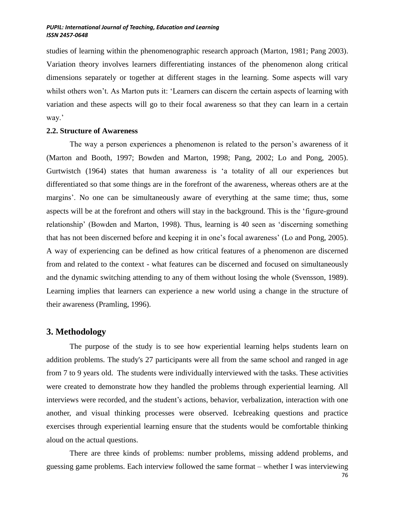studies of learning within the phenomenographic research approach (Marton, 1981; Pang 2003). Variation theory involves learners differentiating instances of the phenomenon along critical dimensions separately or together at different stages in the learning. Some aspects will vary whilst others won't. As Marton puts it: 'Learners can discern the certain aspects of learning with variation and these aspects will go to their focal awareness so that they can learn in a certain way.'

### **2.2. Structure of Awareness**

The way a person experiences a phenomenon is related to the person's awareness of it (Marton and Booth, 1997; Bowden and Marton, 1998; Pang, 2002; Lo and Pong, 2005). Gurtwistch (1964) states that human awareness is 'a totality of all our experiences but differentiated so that some things are in the forefront of the awareness, whereas others are at the margins'. No one can be simultaneously aware of everything at the same time; thus, some aspects will be at the forefront and others will stay in the background. This is the 'figure-ground relationship' (Bowden and Marton, 1998). Thus, learning is 40 seen as 'discerning something that has not been discerned before and keeping it in one's focal awareness' (Lo and Pong, 2005). A way of experiencing can be defined as how critical features of a phenomenon are discerned from and related to the context - what features can be discerned and focused on simultaneously and the dynamic switching attending to any of them without losing the whole (Svensson, 1989). Learning implies that learners can experience a new world using a change in the structure of their awareness (Pramling, 1996).

### **3. Methodology**

The purpose of the study is to see how experiential learning helps students learn on addition problems. The study's 27 participants were all from the same school and ranged in age from 7 to 9 years old. The students were individually interviewed with the tasks. These activities were created to demonstrate how they handled the problems through experiential learning. All interviews were recorded, and the student's actions, behavior, verbalization, interaction with one another, and visual thinking processes were observed. Icebreaking questions and practice exercises through experiential learning ensure that the students would be comfortable thinking aloud on the actual questions.

There are three kinds of problems: number problems, missing addend problems, and guessing game problems. Each interview followed the same format – whether I was interviewing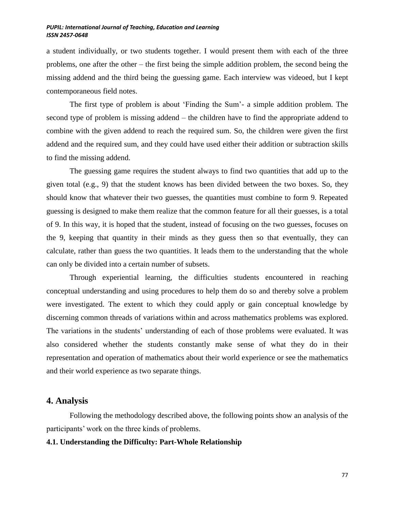a student individually, or two students together. I would present them with each of the three problems, one after the other – the first being the simple addition problem, the second being the missing addend and the third being the guessing game. Each interview was videoed, but I kept contemporaneous field notes.

The first type of problem is about 'Finding the Sum'- a simple addition problem. The second type of problem is missing addend – the children have to find the appropriate addend to combine with the given addend to reach the required sum. So, the children were given the first addend and the required sum, and they could have used either their addition or subtraction skills to find the missing addend.

The guessing game requires the student always to find two quantities that add up to the given total (e.g., 9) that the student knows has been divided between the two boxes. So, they should know that whatever their two guesses, the quantities must combine to form 9. Repeated guessing is designed to make them realize that the common feature for all their guesses, is a total of 9. In this way, it is hoped that the student, instead of focusing on the two guesses, focuses on the 9, keeping that quantity in their minds as they guess then so that eventually, they can calculate, rather than guess the two quantities. It leads them to the understanding that the whole can only be divided into a certain number of subsets.

Through experiential learning, the difficulties students encountered in reaching conceptual understanding and using procedures to help them do so and thereby solve a problem were investigated. The extent to which they could apply or gain conceptual knowledge by discerning common threads of variations within and across mathematics problems was explored. The variations in the students' understanding of each of those problems were evaluated. It was also considered whether the students constantly make sense of what they do in their representation and operation of mathematics about their world experience or see the mathematics and their world experience as two separate things.

# **4. Analysis**

 Following the methodology described above, the following points show an analysis of the participants' work on the three kinds of problems.

#### **4.1. Understanding the Difficulty: Part-Whole Relationship**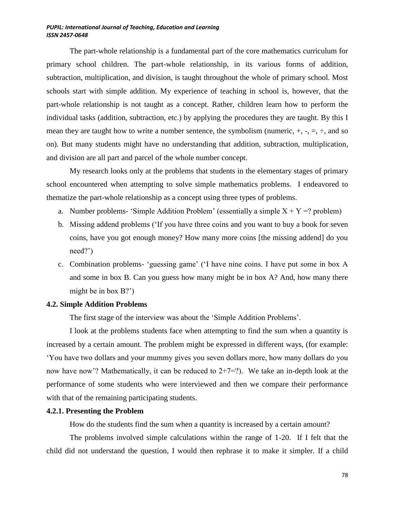The part-whole relationship is a fundamental part of the core mathematics curriculum for primary school children. The part-whole relationship, in its various forms of addition, subtraction, multiplication, and division, is taught throughout the whole of primary school. Most schools start with simple addition. My experience of teaching in school is, however, that the part-whole relationship is not taught as a concept. Rather, children learn how to perform the individual tasks (addition, subtraction, etc.) by applying the procedures they are taught. By this I mean they are taught how to write a number sentence, the symbolism (numeric,  $+, -, =, \div$ , and so on). But many students might have no understanding that addition, subtraction, multiplication, and division are all part and parcel of the whole number concept.

My research looks only at the problems that students in the elementary stages of primary school encountered when attempting to solve simple mathematics problems. I endeavored to thematize the part-whole relationship as a concept using three types of problems.

- a. Number problems- 'Simple Addition Problem' (essentially a simple  $X + Y = ?$  problem)
- b. Missing addend problems ('If you have three coins and you want to buy a book for seven coins, have you got enough money? How many more coins [the missing addend] do you need?')
- c. Combination problems- 'guessing game' ('I have nine coins. I have put some in box A and some in box B. Can you guess how many might be in box A? And, how many there might be in box B?')

#### **4.2. Simple Addition Problems**

The first stage of the interview was about the 'Simple Addition Problems'.

I look at the problems students face when attempting to find the sum when a quantity is increased by a certain amount. The problem might be expressed in different ways, (for example: 'You have two dollars and your mummy gives you seven dollars more, how many dollars do you now have now'? Mathematically, it can be reduced to  $2+7=$ ?). We take an in-depth look at the performance of some students who were interviewed and then we compare their performance with that of the remaining participating students.

### **4.2.1. Presenting the Problem**

How do the students find the sum when a quantity is increased by a certain amount?

The problems involved simple calculations within the range of 1-20. If I felt that the child did not understand the question, I would then rephrase it to make it simpler. If a child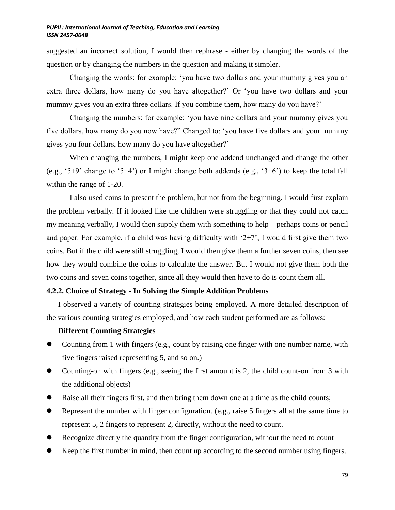suggested an incorrect solution, I would then rephrase - either by changing the words of the question or by changing the numbers in the question and making it simpler.

Changing the words: for example: 'you have two dollars and your mummy gives you an extra three dollars, how many do you have altogether?' Or 'you have two dollars and your mummy gives you an extra three dollars. If you combine them, how many do you have?'

Changing the numbers: for example: 'you have nine dollars and your mummy gives you five dollars, how many do you now have?" Changed to: 'you have five dollars and your mummy gives you four dollars, how many do you have altogether?'

When changing the numbers, I might keep one addend unchanged and change the other (e.g., '5+9' change to '5+4') or I might change both addends (e.g., '3+6') to keep the total fall within the range of 1-20.

I also used coins to present the problem, but not from the beginning. I would first explain the problem verbally. If it looked like the children were struggling or that they could not catch my meaning verbally, I would then supply them with something to help – perhaps coins or pencil and paper. For example, if a child was having difficulty with  $2+7$ , I would first give them two coins. But if the child were still struggling, I would then give them a further seven coins, then see how they would combine the coins to calculate the answer. But I would not give them both the two coins and seven coins together, since all they would then have to do is count them all.

## **4.2.2. Choice of Strategy - In Solving the Simple Addition Problems**

I observed a variety of counting strategies being employed. A more detailed description of the various counting strategies employed, and how each student performed are as follows:

### **Different Counting Strategies**

- Counting from 1 with fingers (e.g., count by raising one finger with one number name, with five fingers raised representing 5, and so on.)
- Counting-on with fingers (e.g., seeing the first amount is 2, the child count-on from 3 with the additional objects)
- Raise all their fingers first, and then bring them down one at a time as the child counts;
- Represent the number with finger configuration. (e.g., raise 5 fingers all at the same time to represent 5, 2 fingers to represent 2, directly, without the need to count.
- Recognize directly the quantity from the finger configuration, without the need to count
- Keep the first number in mind, then count up according to the second number using fingers.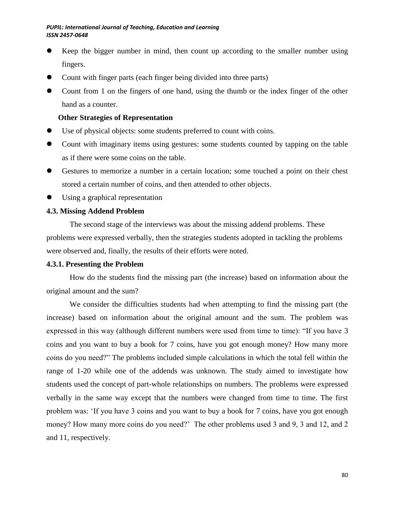- Keep the bigger number in mind, then count up according to the smaller number using fingers.
- Count with finger parts (each finger being divided into three parts)
- Count from 1 on the fingers of one hand, using the thumb or the index finger of the other hand as a counter.

# **Other Strategies of Representation**

- Use of physical objects: some students preferred to count with coins.
- Count with imaginary items using gestures: some students counted by tapping on the table as if there were some coins on the table.
- Gestures to memorize a number in a certain location; some touched a point on their chest stored a certain number of coins, and then attended to other objects.
- Using a graphical representation

# **4.3. Missing Addend Problem**

The second stage of the interviews was about the missing addend problems. These problems were expressed verbally, then the strategies students adopted in tackling the problems were observed and, finally, the results of their efforts were noted.

## **4.3.1. Presenting the Problem**

How do the students find the missing part (the increase) based on information about the original amount and the sum?

We consider the difficulties students had when attempting to find the missing part (the increase) based on information about the original amount and the sum. The problem was expressed in this way (although different numbers were used from time to time): "If you have 3 coins and you want to buy a book for 7 coins, have you got enough money? How many more coins do you need?" The problems included simple calculations in which the total fell within the range of 1-20 while one of the addends was unknown. The study aimed to investigate how students used the concept of part-whole relationships on numbers. The problems were expressed verbally in the same way except that the numbers were changed from time to time. The first problem was: 'If you have 3 coins and you want to buy a book for 7 coins, have you got enough money? How many more coins do you need?' The other problems used 3 and 9, 3 and 12, and 2 and 11, respectively.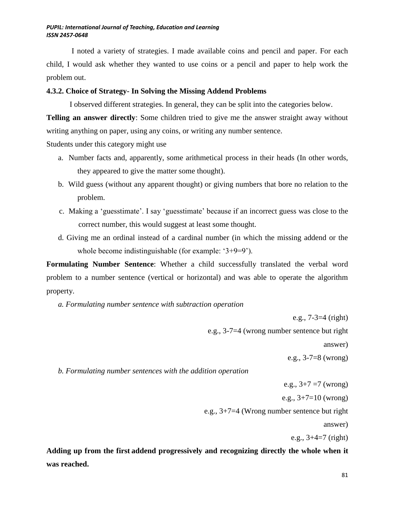I noted a variety of strategies. I made available coins and pencil and paper. For each child, I would ask whether they wanted to use coins or a pencil and paper to help work the problem out.

### **4.3.2. Choice of Strategy- In Solving the Missing Addend Problems**

I observed different strategies. In general, they can be split into the categories below.

**Telling an answer directly:** Some children tried to give me the answer straight away without writing anything on paper, using any coins, or writing any number sentence.

Students under this category might use

- a. Number facts and, apparently, some arithmetical process in their heads (In other words, they appeared to give the matter some thought).
- b. Wild guess (without any apparent thought) or giving numbers that bore no relation to the problem.
- c. Making a 'guesstimate'. I say 'guesstimate' because if an incorrect guess was close to the correct number, this would suggest at least some thought.
- d. Giving me an ordinal instead of a cardinal number (in which the missing addend or the whole become indistinguishable (for example: '3+9=9').

**Formulating Number Sentence**: Whether a child successfully translated the verbal word problem to a number sentence (vertical or horizontal) and was able to operate the algorithm property.

*a. Formulating number sentence with subtraction operation*

 e.g., 7-3=4 (right) e.g., 3-7=4 (wrong number sentence but right answer) e.g., 3-7=8 (wrong) *b. Formulating number sentences with the addition operation* e.g.,  $3+7 = 7$  (wrong) e.g.,  $3+7=10$  (wrong) e.g., 3+7=4 (Wrong number sentence but right

answer)

e.g.,  $3+4=7$  (right)

**Adding up from the first addend progressively and recognizing directly the whole when it was reached.**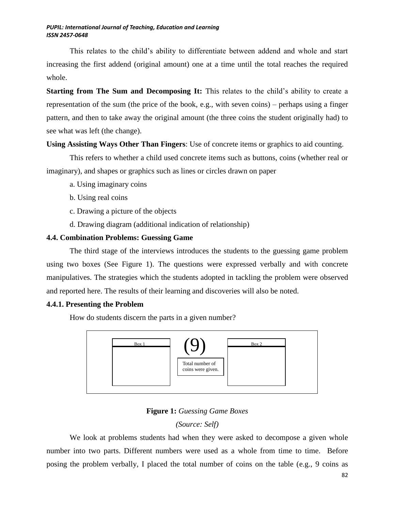This relates to the child's ability to differentiate between addend and whole and start increasing the first addend (original amount) one at a time until the total reaches the required whole.

**Starting from The Sum and Decomposing It:** This relates to the child's ability to create a representation of the sum (the price of the book, e.g., with seven coins) – perhaps using a finger pattern, and then to take away the original amount (the three coins the student originally had) to see what was left (the change).

# **Using Assisting Ways Other Than Fingers**: Use of concrete items or graphics to aid counting.

This refers to whether a child used concrete items such as buttons, coins (whether real or imaginary), and shapes or graphics such as lines or circles drawn on paper

- a. Using imaginary coins
- b. Using real coins
- c. Drawing a picture of the objects
- d. Drawing diagram (additional indication of relationship)

# **4.4. Combination Problems: Guessing Game**

The third stage of the interviews introduces the students to the guessing game problem using two boxes (See Figure 1). The questions were expressed verbally and with concrete manipulatives. The strategies which the students adopted in tackling the problem were observed and reported here. The results of their learning and discoveries will also be noted.

## **4.4.1. Presenting the Problem**

How do students discern the parts in a given number?



**Figure 1:** *Guessing Game Boxes*

# *(Source: Self)*

We look at problems students had when they were asked to decompose a given whole number into two parts. Different numbers were used as a whole from time to time. Before posing the problem verbally, I placed the total number of coins on the table (e.g., 9 coins as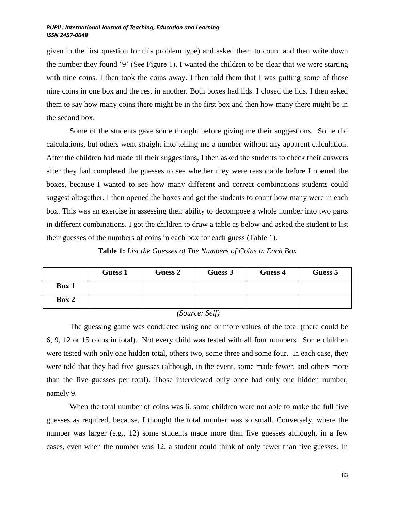given in the first question for this problem type) and asked them to count and then write down the number they found '9' (See Figure 1). I wanted the children to be clear that we were starting with nine coins. I then took the coins away. I then told them that I was putting some of those nine coins in one box and the rest in another. Both boxes had lids. I closed the lids. I then asked them to say how many coins there might be in the first box and then how many there might be in the second box.

Some of the students gave some thought before giving me their suggestions. Some did calculations, but others went straight into telling me a number without any apparent calculation. After the children had made all their suggestions, I then asked the students to check their answers after they had completed the guesses to see whether they were reasonable before I opened the boxes, because I wanted to see how many different and correct combinations students could suggest altogether. I then opened the boxes and got the students to count how many were in each box. This was an exercise in assessing their ability to decompose a whole number into two parts in different combinations. I got the children to draw a table as below and asked the student to list their guesses of the numbers of coins in each box for each guess (Table 1).

**Table 1:** *List the Guesses of The Numbers of Coins in Each Box*

|       | <b>Guess 1</b> | Guess 2 | Guess 3 | Guess 4 | Guess 5 |
|-------|----------------|---------|---------|---------|---------|
| Box 1 |                |         |         |         |         |
| Box 2 |                |         |         |         |         |

*(Source: Self)*

The guessing game was conducted using one or more values of the total (there could be 6, 9, 12 or 15 coins in total). Not every child was tested with all four numbers. Some children were tested with only one hidden total, others two, some three and some four. In each case, they were told that they had five guesses (although, in the event, some made fewer, and others more than the five guesses per total). Those interviewed only once had only one hidden number, namely 9.

When the total number of coins was 6, some children were not able to make the full five guesses as required, because, I thought the total number was so small. Conversely, where the number was larger (e.g., 12) some students made more than five guesses although, in a few cases, even when the number was 12, a student could think of only fewer than five guesses. In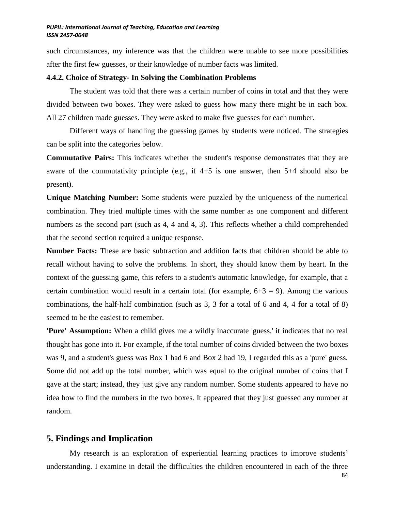such circumstances, my inference was that the children were unable to see more possibilities after the first few guesses, or their knowledge of number facts was limited.

#### **4.4.2. Choice of Strategy- In Solving the Combination Problems**

The student was told that there was a certain number of coins in total and that they were divided between two boxes. They were asked to guess how many there might be in each box. All 27 children made guesses. They were asked to make five guesses for each number.

Different ways of handling the guessing games by students were noticed. The strategies can be split into the categories below.

**Commutative Pairs:** This indicates whether the student's response demonstrates that they are aware of the commutativity principle (e.g., if 4+5 is one answer, then 5+4 should also be present).

**Unique Matching Number:** Some students were puzzled by the uniqueness of the numerical combination. They tried multiple times with the same number as one component and different numbers as the second part (such as 4, 4 and 4, 3). This reflects whether a child comprehended that the second section required a unique response.

**Number Facts:** These are basic subtraction and addition facts that children should be able to recall without having to solve the problems. In short, they should know them by heart. In the context of the guessing game, this refers to a student's automatic knowledge, for example, that a certain combination would result in a certain total (for example,  $6+3 = 9$ ). Among the various combinations, the half-half combination (such as 3, 3 for a total of 6 and 4, 4 for a total of 8) seemed to be the easiest to remember.

**'Pure' Assumption:** When a child gives me a wildly inaccurate 'guess,' it indicates that no real thought has gone into it. For example, if the total number of coins divided between the two boxes was 9, and a student's guess was Box 1 had 6 and Box 2 had 19, I regarded this as a 'pure' guess. Some did not add up the total number, which was equal to the original number of coins that I gave at the start; instead, they just give any random number. Some students appeared to have no idea how to find the numbers in the two boxes. It appeared that they just guessed any number at random.

### **5. Findings and Implication**

My research is an exploration of experiential learning practices to improve students' understanding. I examine in detail the difficulties the children encountered in each of the three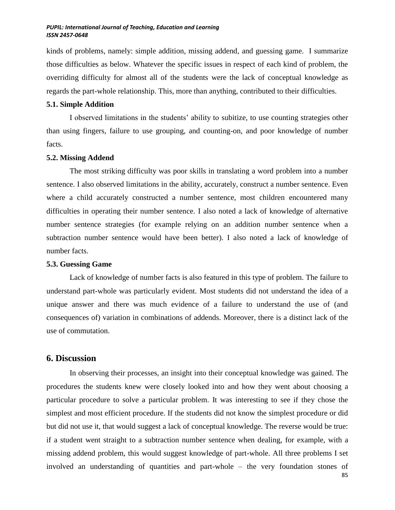kinds of problems, namely: simple addition, missing addend, and guessing game. I summarize those difficulties as below. Whatever the specific issues in respect of each kind of problem, the overriding difficulty for almost all of the students were the lack of conceptual knowledge as regards the part-whole relationship. This, more than anything, contributed to their difficulties.

#### **5.1. Simple Addition**

I observed limitations in the students' ability to subitize, to use counting strategies other than using fingers, failure to use grouping, and counting-on, and poor knowledge of number facts.

#### **5.2. Missing Addend**

The most striking difficulty was poor skills in translating a word problem into a number sentence. I also observed limitations in the ability, accurately, construct a number sentence. Even where a child accurately constructed a number sentence, most children encountered many difficulties in operating their number sentence. I also noted a lack of knowledge of alternative number sentence strategies (for example relying on an addition number sentence when a subtraction number sentence would have been better). I also noted a lack of knowledge of number facts.

#### **5.3. Guessing Game**

Lack of knowledge of number facts is also featured in this type of problem. The failure to understand part-whole was particularly evident. Most students did not understand the idea of a unique answer and there was much evidence of a failure to understand the use of (and consequences of) variation in combinations of addends. Moreover, there is a distinct lack of the use of commutation.

# **6. Discussion**

In observing their processes, an insight into their conceptual knowledge was gained. The procedures the students knew were closely looked into and how they went about choosing a particular procedure to solve a particular problem. It was interesting to see if they chose the simplest and most efficient procedure. If the students did not know the simplest procedure or did but did not use it, that would suggest a lack of conceptual knowledge. The reverse would be true: if a student went straight to a subtraction number sentence when dealing, for example, with a missing addend problem, this would suggest knowledge of part-whole. All three problems I set involved an understanding of quantities and part-whole – the very foundation stones of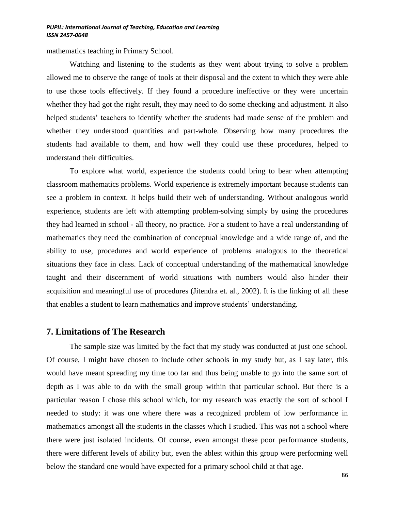mathematics teaching in Primary School.

Watching and listening to the students as they went about trying to solve a problem allowed me to observe the range of tools at their disposal and the extent to which they were able to use those tools effectively. If they found a procedure ineffective or they were uncertain whether they had got the right result, they may need to do some checking and adjustment. It also helped students' teachers to identify whether the students had made sense of the problem and whether they understood quantities and part-whole. Observing how many procedures the students had available to them, and how well they could use these procedures, helped to understand their difficulties.

To explore what world, experience the students could bring to bear when attempting classroom mathematics problems. World experience is extremely important because students can see a problem in context. It helps build their web of understanding. Without analogous world experience, students are left with attempting problem-solving simply by using the procedures they had learned in school - all theory, no practice. For a student to have a real understanding of mathematics they need the combination of conceptual knowledge and a wide range of, and the ability to use, procedures and world experience of problems analogous to the theoretical situations they face in class. Lack of conceptual understanding of the mathematical knowledge taught and their discernment of world situations with numbers would also hinder their acquisition and meaningful use of procedures (Jitendra et. al., 2002). It is the linking of all these that enables a student to learn mathematics and improve students' understanding.

#### **7. Limitations of The Research**

The sample size was limited by the fact that my study was conducted at just one school. Of course, I might have chosen to include other schools in my study but, as I say later, this would have meant spreading my time too far and thus being unable to go into the same sort of depth as I was able to do with the small group within that particular school. But there is a particular reason I chose this school which, for my research was exactly the sort of school I needed to study: it was one where there was a recognized problem of low performance in mathematics amongst all the students in the classes which I studied. This was not a school where there were just isolated incidents. Of course, even amongst these poor performance students, there were different levels of ability but, even the ablest within this group were performing well below the standard one would have expected for a primary school child at that age.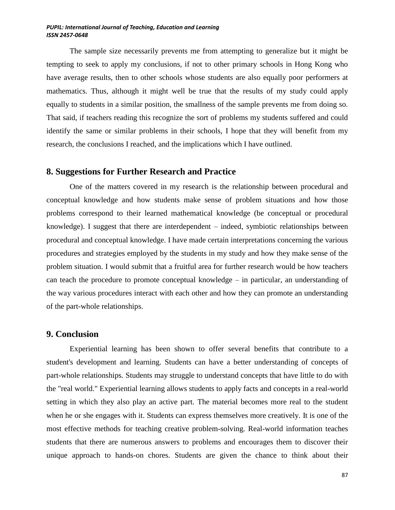The sample size necessarily prevents me from attempting to generalize but it might be tempting to seek to apply my conclusions, if not to other primary schools in Hong Kong who have average results, then to other schools whose students are also equally poor performers at mathematics. Thus, although it might well be true that the results of my study could apply equally to students in a similar position, the smallness of the sample prevents me from doing so. That said, if teachers reading this recognize the sort of problems my students suffered and could identify the same or similar problems in their schools, I hope that they will benefit from my research, the conclusions I reached, and the implications which I have outlined.

# **8. Suggestions for Further Research and Practice**

One of the matters covered in my research is the relationship between procedural and conceptual knowledge and how students make sense of problem situations and how those problems correspond to their learned mathematical knowledge (be conceptual or procedural knowledge). I suggest that there are interdependent – indeed, symbiotic relationships between procedural and conceptual knowledge. I have made certain interpretations concerning the various procedures and strategies employed by the students in my study and how they make sense of the problem situation. I would submit that a fruitful area for further research would be how teachers can teach the procedure to promote conceptual knowledge – in particular, an understanding of the way various procedures interact with each other and how they can promote an understanding of the part-whole relationships.

# **9. Conclusion**

Experiential learning has been shown to offer several benefits that contribute to a student's development and learning. Students can have a better understanding of concepts of part-whole relationships. Students may struggle to understand concepts that have little to do with the "real world." Experiential learning allows students to apply facts and concepts in a real-world setting in which they also play an active part. The material becomes more real to the student when he or she engages with it. Students can express themselves more creatively. It is one of the most effective methods for teaching creative problem-solving. Real-world information teaches students that there are numerous answers to problems and encourages them to discover their unique approach to hands-on chores. Students are given the chance to think about their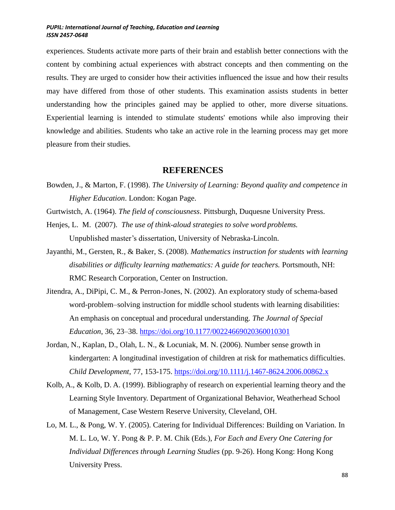experiences. Students activate more parts of their brain and establish better connections with the content by combining actual experiences with abstract concepts and then commenting on the results. They are urged to consider how their activities influenced the issue and how their results may have differed from those of other students. This examination assists students in better understanding how the principles gained may be applied to other, more diverse situations. Experiential learning is intended to stimulate students' emotions while also improving their knowledge and abilities. Students who take an active role in the learning process may get more pleasure from their studies.

# **REFERENCES**

- Bowden, J., & Marton, F. (1998). *The University of Learning: Beyond quality and competence in Higher Education*. London: Kogan Page.
- Gurtwistch, A. (1964). *The field of consciousness*. Pittsburgh, Duquesne University Press.
- Henjes, L. M. (2007). *The use of think-aloud strategies to solve word problems.* Unpublished master's dissertation, University of Nebraska-Lincoln.
- Jayanthi, M., Gersten, R., & Baker, S. (2008). *Mathematics instruction for students with learning*  disabilities or difficulty learning mathematics: A guide for teachers. Portsmouth, NH: RMC Research Corporation, Center on Instruction.
- Jitendra, A., DiPipi, C. M., & Perron-Jones, N. (2002). An exploratory study of schema-based word-problem–solving instruction for middle school students with learning disabilities: An emphasis on conceptual and procedural understanding. *The Journal of Special Education*, 36, 23–38. <https://doi.org/10.1177/00224669020360010301>
- Jordan, N., Kaplan, D., Olah, L. N., & Locuniak, M. N. (2006). Number sense growth in kindergarten: A longitudinal investigation of children at risk for mathematics difficulties. *Child Development*, 77, 153-175. <https://doi.org/10.1111/j.1467-8624.2006.00862.x>
- Kolb, A., & Kolb, D. A. (1999). Bibliography of research on experiential learning theory and the Learning Style Inventory. Department of Organizational Behavior, Weatherhead School of Management, Case Western Reserve University, Cleveland, OH.
- Lo, M. L., & Pong, W. Y. (2005). Catering for Individual Differences: Building on Variation. In M. L. Lo, W. Y. Pong & P. P. M. Chik (Eds.), *For Each and Every One Catering for Individual Differences through Learning Studies* (pp. 9-26). Hong Kong: Hong Kong University Press.